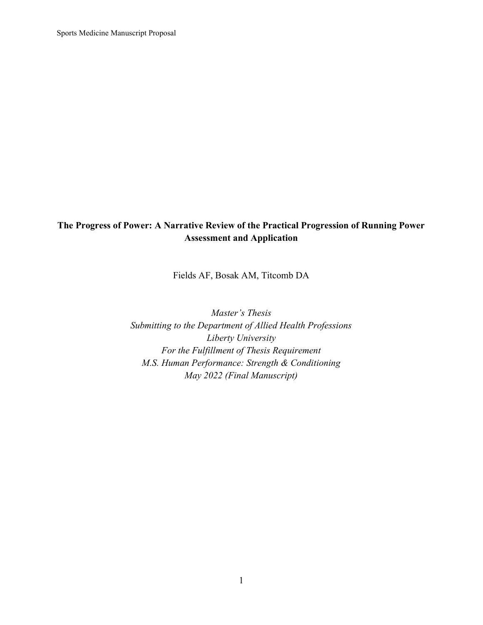Sports Medicine Manuscript Proposal

# The Progress of Power: A Narrative Review of the Practical Progression of Running Power Assessment and Application

Fields AF, Bosak AM, Titcomb DA

Master's Thesis Submitting to the Department of Allied Health Professions Liberty University For the Fulfillment of Thesis Requirement M.S. Human Performance: Strength & Conditioning May 2022 (Final Manuscript)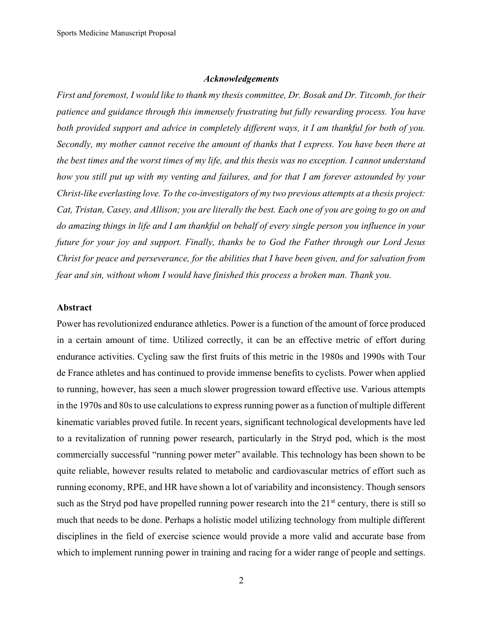#### Acknowledgements

First and foremost, I would like to thank my thesis committee, Dr. Bosak and Dr. Titcomb, for their patience and guidance through this immensely frustrating but fully rewarding process. You have both provided support and advice in completely different ways, it I am thankful for both of you. Secondly, my mother cannot receive the amount of thanks that I express. You have been there at the best times and the worst times of my life, and this thesis was no exception. I cannot understand how you still put up with my venting and failures, and for that I am forever astounded by your Christ-like everlasting love. To the co-investigators of my two previous attempts at a thesis project: Cat, Tristan, Casey, and Allison; you are literally the best. Each one of you are going to go on and do amazing things in life and I am thankful on behalf of every single person you influence in your future for your joy and support. Finally, thanks be to God the Father through our Lord Jesus Christ for peace and perseverance, for the abilities that I have been given, and for salvation from fear and sin, without whom I would have finished this process a broken man. Thank you.

### Abstract

Power has revolutionized endurance athletics. Power is a function of the amount of force produced in a certain amount of time. Utilized correctly, it can be an effective metric of effort during endurance activities. Cycling saw the first fruits of this metric in the 1980s and 1990s with Tour de France athletes and has continued to provide immense benefits to cyclists. Power when applied to running, however, has seen a much slower progression toward effective use. Various attempts in the 1970s and 80s to use calculations to express running power as a function of multiple different kinematic variables proved futile. In recent years, significant technological developments have led to a revitalization of running power research, particularly in the Stryd pod, which is the most commercially successful "running power meter" available. This technology has been shown to be quite reliable, however results related to metabolic and cardiovascular metrics of effort such as running economy, RPE, and HR have shown a lot of variability and inconsistency. Though sensors such as the Stryd pod have propelled running power research into the  $21<sup>st</sup>$  century, there is still so much that needs to be done. Perhaps a holistic model utilizing technology from multiple different disciplines in the field of exercise science would provide a more valid and accurate base from which to implement running power in training and racing for a wider range of people and settings.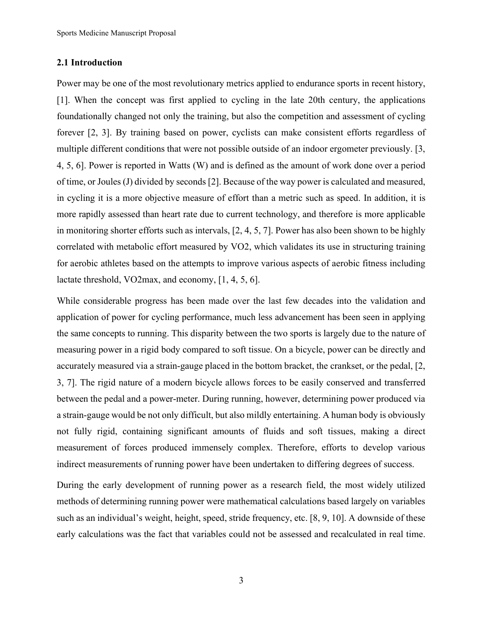## 2.1 Introduction

Power may be one of the most revolutionary metrics applied to endurance sports in recent history, [1]. When the concept was first applied to cycling in the late 20th century, the applications foundationally changed not only the training, but also the competition and assessment of cycling forever [2, 3]. By training based on power, cyclists can make consistent efforts regardless of multiple different conditions that were not possible outside of an indoor ergometer previously. [3, 4, 5, 6]. Power is reported in Watts (W) and is defined as the amount of work done over a period of time, or Joules (J) divided by seconds [2]. Because of the way power is calculated and measured, in cycling it is a more objective measure of effort than a metric such as speed. In addition, it is more rapidly assessed than heart rate due to current technology, and therefore is more applicable in monitoring shorter efforts such as intervals, [2, 4, 5, 7]. Power has also been shown to be highly correlated with metabolic effort measured by VO2, which validates its use in structuring training for aerobic athletes based on the attempts to improve various aspects of aerobic fitness including lactate threshold, VO2max, and economy, [1, 4, 5, 6].

While considerable progress has been made over the last few decades into the validation and application of power for cycling performance, much less advancement has been seen in applying the same concepts to running. This disparity between the two sports is largely due to the nature of measuring power in a rigid body compared to soft tissue. On a bicycle, power can be directly and accurately measured via a strain-gauge placed in the bottom bracket, the crankset, or the pedal, [2, 3, 7]. The rigid nature of a modern bicycle allows forces to be easily conserved and transferred between the pedal and a power-meter. During running, however, determining power produced via a strain-gauge would be not only difficult, but also mildly entertaining. A human body is obviously not fully rigid, containing significant amounts of fluids and soft tissues, making a direct measurement of forces produced immensely complex. Therefore, efforts to develop various indirect measurements of running power have been undertaken to differing degrees of success.

During the early development of running power as a research field, the most widely utilized methods of determining running power were mathematical calculations based largely on variables such as an individual's weight, height, speed, stride frequency, etc. [8, 9, 10]. A downside of these early calculations was the fact that variables could not be assessed and recalculated in real time.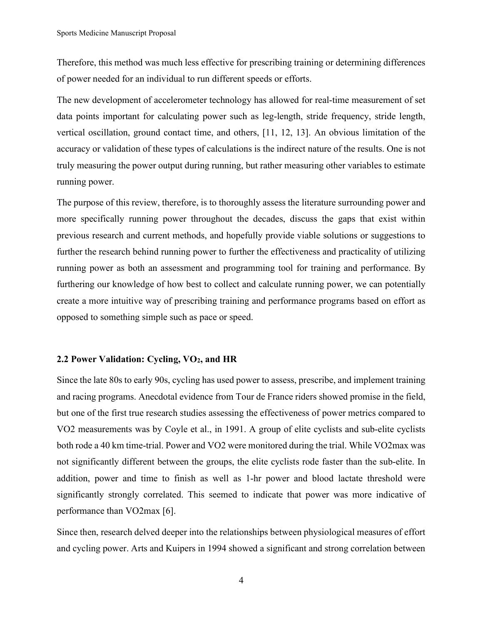Therefore, this method was much less effective for prescribing training or determining differences of power needed for an individual to run different speeds or efforts.

The new development of accelerometer technology has allowed for real-time measurement of set data points important for calculating power such as leg-length, stride frequency, stride length, vertical oscillation, ground contact time, and others, [11, 12, 13]. An obvious limitation of the accuracy or validation of these types of calculations is the indirect nature of the results. One is not truly measuring the power output during running, but rather measuring other variables to estimate running power.

The purpose of this review, therefore, is to thoroughly assess the literature surrounding power and more specifically running power throughout the decades, discuss the gaps that exist within previous research and current methods, and hopefully provide viable solutions or suggestions to further the research behind running power to further the effectiveness and practicality of utilizing running power as both an assessment and programming tool for training and performance. By furthering our knowledge of how best to collect and calculate running power, we can potentially create a more intuitive way of prescribing training and performance programs based on effort as opposed to something simple such as pace or speed.

### 2.2 Power Validation: Cycling, VO2, and HR

Since the late 80s to early 90s, cycling has used power to assess, prescribe, and implement training and racing programs. Anecdotal evidence from Tour de France riders showed promise in the field, but one of the first true research studies assessing the effectiveness of power metrics compared to VO2 measurements was by Coyle et al., in 1991. A group of elite cyclists and sub-elite cyclists both rode a 40 km time-trial. Power and VO2 were monitored during the trial. While VO2max was not significantly different between the groups, the elite cyclists rode faster than the sub-elite. In addition, power and time to finish as well as 1-hr power and blood lactate threshold were significantly strongly correlated. This seemed to indicate that power was more indicative of performance than VO2max [6].

Since then, research delved deeper into the relationships between physiological measures of effort and cycling power. Arts and Kuipers in 1994 showed a significant and strong correlation between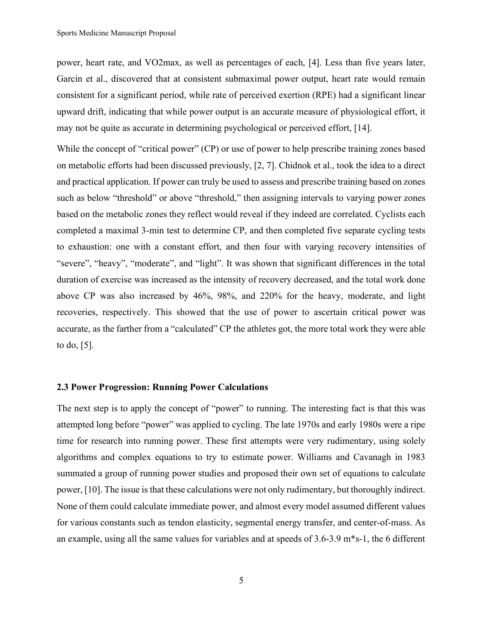power, heart rate, and VO2max, as well as percentages of each, [4]. Less than five years later, Garcin et al., discovered that at consistent submaximal power output, heart rate would remain consistent for a significant period, while rate of perceived exertion (RPE) had a significant linear upward drift, indicating that while power output is an accurate measure of physiological effort, it may not be quite as accurate in determining psychological or perceived effort, [14].

While the concept of "critical power" (CP) or use of power to help prescribe training zones based on metabolic efforts had been discussed previously, [2, 7]. Chidnok et al., took the idea to a direct and practical application. If power can truly be used to assess and prescribe training based on zones such as below "threshold" or above "threshold," then assigning intervals to varying power zones based on the metabolic zones they reflect would reveal if they indeed are correlated. Cyclists each completed a maximal 3-min test to determine CP, and then completed five separate cycling tests to exhaustion: one with a constant effort, and then four with varying recovery intensities of "severe", "heavy", "moderate", and "light". It was shown that significant differences in the total duration of exercise was increased as the intensity of recovery decreased, and the total work done above CP was also increased by 46%, 98%, and 220% for the heavy, moderate, and light recoveries, respectively. This showed that the use of power to ascertain critical power was accurate, as the farther from a "calculated" CP the athletes got, the more total work they were able to do, [5].

### 2.3 Power Progression: Running Power Calculations

The next step is to apply the concept of "power" to running. The interesting fact is that this was attempted long before "power" was applied to cycling. The late 1970s and early 1980s were a ripe time for research into running power. These first attempts were very rudimentary, using solely algorithms and complex equations to try to estimate power. Williams and Cavanagh in 1983 summated a group of running power studies and proposed their own set of equations to calculate power, [10]. The issue is that these calculations were not only rudimentary, but thoroughly indirect. None of them could calculate immediate power, and almost every model assumed different values for various constants such as tendon elasticity, segmental energy transfer, and center-of-mass. As an example, using all the same values for variables and at speeds of 3.6-3.9 m\*s-1, the 6 different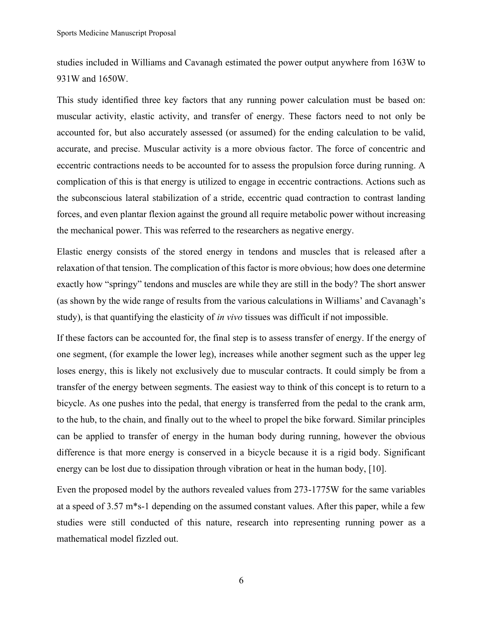studies included in Williams and Cavanagh estimated the power output anywhere from 163W to 931W and 1650W.

This study identified three key factors that any running power calculation must be based on: muscular activity, elastic activity, and transfer of energy. These factors need to not only be accounted for, but also accurately assessed (or assumed) for the ending calculation to be valid, accurate, and precise. Muscular activity is a more obvious factor. The force of concentric and eccentric contractions needs to be accounted for to assess the propulsion force during running. A complication of this is that energy is utilized to engage in eccentric contractions. Actions such as the subconscious lateral stabilization of a stride, eccentric quad contraction to contrast landing forces, and even plantar flexion against the ground all require metabolic power without increasing the mechanical power. This was referred to the researchers as negative energy.

Elastic energy consists of the stored energy in tendons and muscles that is released after a relaxation of that tension. The complication of this factor is more obvious; how does one determine exactly how "springy" tendons and muscles are while they are still in the body? The short answer (as shown by the wide range of results from the various calculations in Williams' and Cavanagh's study), is that quantifying the elasticity of *in vivo* tissues was difficult if not impossible.

If these factors can be accounted for, the final step is to assess transfer of energy. If the energy of one segment, (for example the lower leg), increases while another segment such as the upper leg loses energy, this is likely not exclusively due to muscular contracts. It could simply be from a transfer of the energy between segments. The easiest way to think of this concept is to return to a bicycle. As one pushes into the pedal, that energy is transferred from the pedal to the crank arm, to the hub, to the chain, and finally out to the wheel to propel the bike forward. Similar principles can be applied to transfer of energy in the human body during running, however the obvious difference is that more energy is conserved in a bicycle because it is a rigid body. Significant energy can be lost due to dissipation through vibration or heat in the human body, [10].

Even the proposed model by the authors revealed values from 273-1775W for the same variables at a speed of 3.57 m\*s-1 depending on the assumed constant values. After this paper, while a few studies were still conducted of this nature, research into representing running power as a mathematical model fizzled out.

6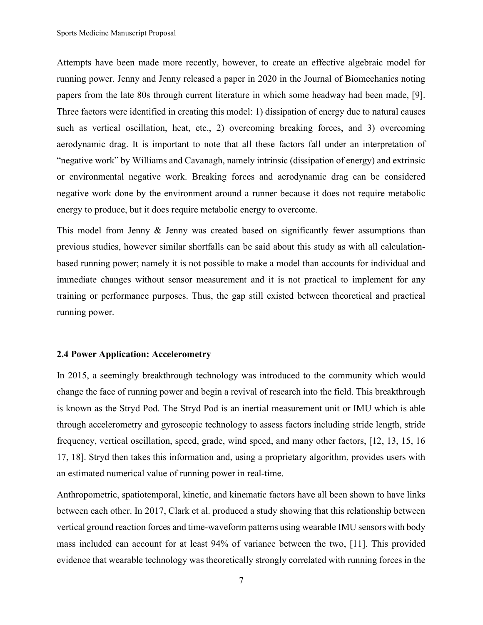Attempts have been made more recently, however, to create an effective algebraic model for running power. Jenny and Jenny released a paper in 2020 in the Journal of Biomechanics noting papers from the late 80s through current literature in which some headway had been made, [9]. Three factors were identified in creating this model: 1) dissipation of energy due to natural causes such as vertical oscillation, heat, etc., 2) overcoming breaking forces, and 3) overcoming aerodynamic drag. It is important to note that all these factors fall under an interpretation of "negative work" by Williams and Cavanagh, namely intrinsic (dissipation of energy) and extrinsic or environmental negative work. Breaking forces and aerodynamic drag can be considered negative work done by the environment around a runner because it does not require metabolic energy to produce, but it does require metabolic energy to overcome.

This model from Jenny & Jenny was created based on significantly fewer assumptions than previous studies, however similar shortfalls can be said about this study as with all calculationbased running power; namely it is not possible to make a model than accounts for individual and immediate changes without sensor measurement and it is not practical to implement for any training or performance purposes. Thus, the gap still existed between theoretical and practical running power.

## 2.4 Power Application: Accelerometry

In 2015, a seemingly breakthrough technology was introduced to the community which would change the face of running power and begin a revival of research into the field. This breakthrough is known as the Stryd Pod. The Stryd Pod is an inertial measurement unit or IMU which is able through accelerometry and gyroscopic technology to assess factors including stride length, stride frequency, vertical oscillation, speed, grade, wind speed, and many other factors, [12, 13, 15, 16 17, 18]. Stryd then takes this information and, using a proprietary algorithm, provides users with an estimated numerical value of running power in real-time.

Anthropometric, spatiotemporal, kinetic, and kinematic factors have all been shown to have links between each other. In 2017, Clark et al. produced a study showing that this relationship between vertical ground reaction forces and time-waveform patterns using wearable IMU sensors with body mass included can account for at least 94% of variance between the two, [11]. This provided evidence that wearable technology was theoretically strongly correlated with running forces in the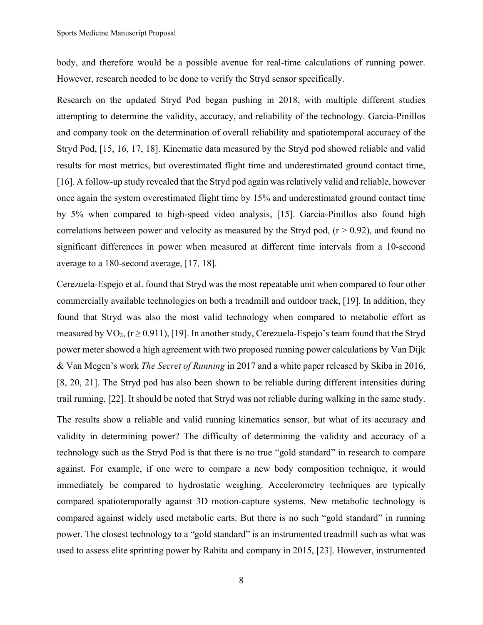body, and therefore would be a possible avenue for real-time calculations of running power. However, research needed to be done to verify the Stryd sensor specifically.

Research on the updated Stryd Pod began pushing in 2018, with multiple different studies attempting to determine the validity, accuracy, and reliability of the technology. Garcia-Pinillos and company took on the determination of overall reliability and spatiotemporal accuracy of the Stryd Pod, [15, 16, 17, 18]. Kinematic data measured by the Stryd pod showed reliable and valid results for most metrics, but overestimated flight time and underestimated ground contact time, [16]. A follow-up study revealed that the Stryd pod again was relatively valid and reliable, however once again the system overestimated flight time by 15% and underestimated ground contact time by 5% when compared to high-speed video analysis, [15]. Garcia-Pinillos also found high correlations between power and velocity as measured by the Stryd pod,  $(r > 0.92)$ , and found no significant differences in power when measured at different time intervals from a 10-second average to a 180-second average, [17, 18].

Cerezuela-Espejo et al. found that Stryd was the most repeatable unit when compared to four other commercially available technologies on both a treadmill and outdoor track, [19]. In addition, they found that Stryd was also the most valid technology when compared to metabolic effort as measured by  $VO_2$ , ( $r \ge 0.911$ ), [19]. In another study, Cerezuela-Espejo's team found that the Stryd power meter showed a high agreement with two proposed running power calculations by Van Dijk & Van Megen's work The Secret of Running in 2017 and a white paper released by Skiba in 2016, [8, 20, 21]. The Stryd pod has also been shown to be reliable during different intensities during trail running, [22]. It should be noted that Stryd was not reliable during walking in the same study.

The results show a reliable and valid running kinematics sensor, but what of its accuracy and validity in determining power? The difficulty of determining the validity and accuracy of a technology such as the Stryd Pod is that there is no true "gold standard" in research to compare against. For example, if one were to compare a new body composition technique, it would immediately be compared to hydrostatic weighing. Accelerometry techniques are typically compared spatiotemporally against 3D motion-capture systems. New metabolic technology is compared against widely used metabolic carts. But there is no such "gold standard" in running power. The closest technology to a "gold standard" is an instrumented treadmill such as what was used to assess elite sprinting power by Rabita and company in 2015, [23]. However, instrumented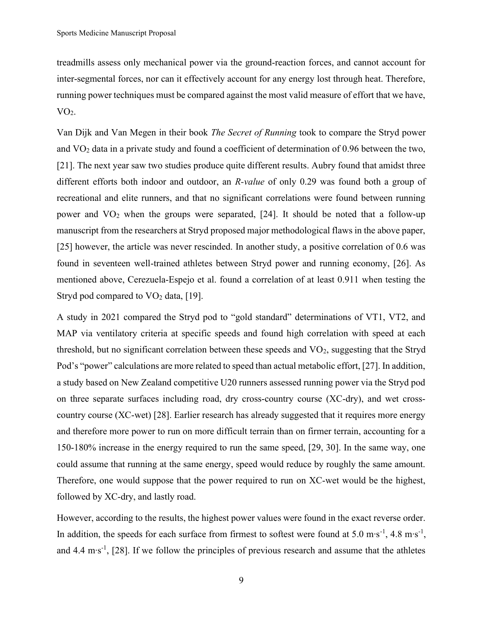treadmills assess only mechanical power via the ground-reaction forces, and cannot account for inter-segmental forces, nor can it effectively account for any energy lost through heat. Therefore, running power techniques must be compared against the most valid measure of effort that we have,  $VO<sub>2</sub>$ .

Van Dijk and Van Megen in their book The Secret of Running took to compare the Stryd power and VO2 data in a private study and found a coefficient of determination of 0.96 between the two, [21]. The next year saw two studies produce quite different results. Aubry found that amidst three different efforts both indoor and outdoor, an R-value of only 0.29 was found both a group of recreational and elite runners, and that no significant correlations were found between running power and  $VO<sub>2</sub>$  when the groups were separated, [24]. It should be noted that a follow-up manuscript from the researchers at Stryd proposed major methodological flaws in the above paper, [25] however, the article was never rescinded. In another study, a positive correlation of 0.6 was found in seventeen well-trained athletes between Stryd power and running economy, [26]. As mentioned above, Cerezuela-Espejo et al. found a correlation of at least 0.911 when testing the Stryd pod compared to  $VO<sub>2</sub>$  data, [19].

A study in 2021 compared the Stryd pod to "gold standard" determinations of VT1, VT2, and MAP via ventilatory criteria at specific speeds and found high correlation with speed at each threshold, but no significant correlation between these speeds and  $VO<sub>2</sub>$ , suggesting that the Stryd Pod's "power" calculations are more related to speed than actual metabolic effort, [27]. In addition, a study based on New Zealand competitive U20 runners assessed running power via the Stryd pod on three separate surfaces including road, dry cross-country course (XC-dry), and wet crosscountry course (XC-wet) [28]. Earlier research has already suggested that it requires more energy and therefore more power to run on more difficult terrain than on firmer terrain, accounting for a 150-180% increase in the energy required to run the same speed, [29, 30]. In the same way, one could assume that running at the same energy, speed would reduce by roughly the same amount. Therefore, one would suppose that the power required to run on XC-wet would be the highest, followed by XC-dry, and lastly road.

However, according to the results, the highest power values were found in the exact reverse order. In addition, the speeds for each surface from firmest to softest were found at 5.0 m⋅s<sup>-1</sup>, 4.8 m⋅s<sup>-1</sup>, and 4.4 m∙s-1, [28]. If we follow the principles of previous research and assume that the athletes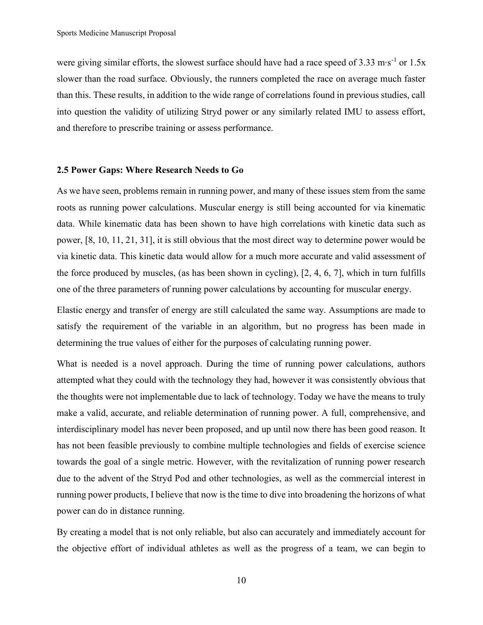were giving similar efforts, the slowest surface should have had a race speed of 3.33 m⋅s<sup>-1</sup> or 1.5x slower than the road surface. Obviously, the runners completed the race on average much faster than this. These results, in addition to the wide range of correlations found in previous studies, call into question the validity of utilizing Stryd power or any similarly related IMU to assess effort, and therefore to prescribe training or assess performance.

#### 2.5 Power Gaps: Where Research Needs to Go

As we have seen, problems remain in running power, and many of these issues stem from the same roots as running power calculations. Muscular energy is still being accounted for via kinematic data. While kinematic data has been shown to have high correlations with kinetic data such as power, [8, 10, 11, 21, 31], it is still obvious that the most direct way to determine power would be via kinetic data. This kinetic data would allow for a much more accurate and valid assessment of the force produced by muscles, (as has been shown in cycling), [2, 4, 6, 7], which in turn fulfills one of the three parameters of running power calculations by accounting for muscular energy.

Elastic energy and transfer of energy are still calculated the same way. Assumptions are made to satisfy the requirement of the variable in an algorithm, but no progress has been made in determining the true values of either for the purposes of calculating running power.

What is needed is a novel approach. During the time of running power calculations, authors attempted what they could with the technology they had, however it was consistently obvious that the thoughts were not implementable due to lack of technology. Today we have the means to truly make a valid, accurate, and reliable determination of running power. A full, comprehensive, and interdisciplinary model has never been proposed, and up until now there has been good reason. It has not been feasible previously to combine multiple technologies and fields of exercise science towards the goal of a single metric. However, with the revitalization of running power research due to the advent of the Stryd Pod and other technologies, as well as the commercial interest in running power products, I believe that now is the time to dive into broadening the horizons of what power can do in distance running.

By creating a model that is not only reliable, but also can accurately and immediately account for the objective effort of individual athletes as well as the progress of a team, we can begin to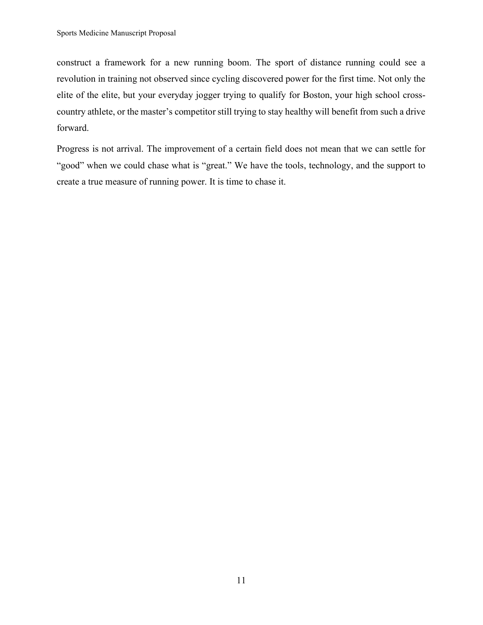construct a framework for a new running boom. The sport of distance running could see a revolution in training not observed since cycling discovered power for the first time. Not only the elite of the elite, but your everyday jogger trying to qualify for Boston, your high school crosscountry athlete, or the master's competitor still trying to stay healthy will benefit from such a drive forward.

Progress is not arrival. The improvement of a certain field does not mean that we can settle for "good" when we could chase what is "great." We have the tools, technology, and the support to create a true measure of running power. It is time to chase it.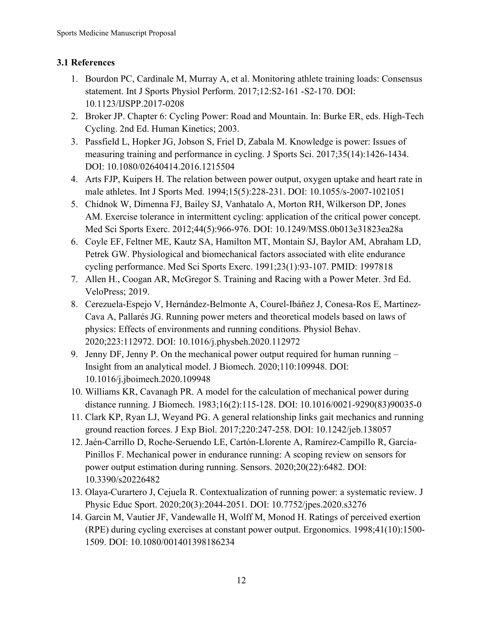# 3.1 References

- 1. Bourdon PC, Cardinale M, Murray A, et al. Monitoring athlete training loads: Consensus statement. Int J Sports Physiol Perform. 2017;12:S2-161 -S2-170. DOI: 10.1123/IJSPP.2017-0208
- 2. Broker JP. Chapter 6: Cycling Power: Road and Mountain. In: Burke ER, eds. High-Tech Cycling. 2nd Ed. Human Kinetics; 2003.
- 3. Passfield L, Hopker JG, Jobson S, Friel D, Zabala M. Knowledge is power: Issues of measuring training and performance in cycling. J Sports Sci. 2017;35(14):1426-1434. DOI: 10.1080/02640414.2016.1215504
- 4. Arts FJP, Kuipers H. The relation between power output, oxygen uptake and heart rate in male athletes. Int J Sports Med. 1994;15(5):228-231. DOI: 10.1055/s-2007-1021051
- 5. Chidnok W, Dimenna FJ, Bailey SJ, Vanhatalo A, Morton RH, Wilkerson DP, Jones AM. Exercise tolerance in intermittent cycling: application of the critical power concept. Med Sci Sports Exerc. 2012;44(5):966-976. DOI: 10.1249/MSS.0b013e31823ea28a
- 6. Coyle EF, Feltner ME, Kautz SA, Hamilton MT, Montain SJ, Baylor AM, Abraham LD, Petrek GW. Physiological and biomechanical factors associated with elite endurance cycling performance. Med Sci Sports Exerc. 1991;23(1):93-107. PMID: 1997818
- 7. Allen H., Coogan AR, McGregor S. Training and Racing with a Power Meter. 3rd Ed. VeloPress; 2019.
- 8. Cerezuela-Espejo V, Hernández-Belmonte A, Courel-Ibáñez J, Conesa-Ros E, Martínez-Cava A, Pallarés JG. Running power meters and theoretical models based on laws of physics: Effects of environments and running conditions. Physiol Behav. 2020;223:112972. DOI: 10.1016/j.physbeh.2020.112972
- 9. Jenny DF, Jenny P. On the mechanical power output required for human running Insight from an analytical model. J Biomech. 2020;110:109948. DOI: 10.1016/j.jboimech.2020.109948
- 10. Williams KR, Cavanagh PR. A model for the calculation of mechanical power during distance running. J Biomech. 1983;16(2):115-128. DOI: 10.1016/0021-9290(83)90035-0
- 11. Clark KP, Ryan LJ, Weyand PG. A general relationship links gait mechanics and running ground reaction forces. J Exp Biol. 2017;220:247-258. DOI: 10.1242/jeb.138057
- 12. Jaén-Carrillo D, Roche-Seruendo LE, Cartón-Llorente A, Ramírez-Campillo R, García-Pinillos F. Mechanical power in endurance running: A scoping review on sensors for power output estimation during running. Sensors. 2020;20(22):6482. DOI: 10.3390/s20226482
- 13. Olaya-Curartero J, Cejuela R. Contextualization of running power: a systematic review. J Physic Educ Sport. 2020;20(3):2044-2051. DOI: 10.7752/jpes.2020.s3276
- 14. Garcin M, Vautier JF, Vandewalle H, Wolff M, Monod H. Ratings of perceived exertion (RPE) during cycling exercises at constant power output. Ergonomics. 1998;41(10):1500- 1509. DOI: 10.1080/001401398186234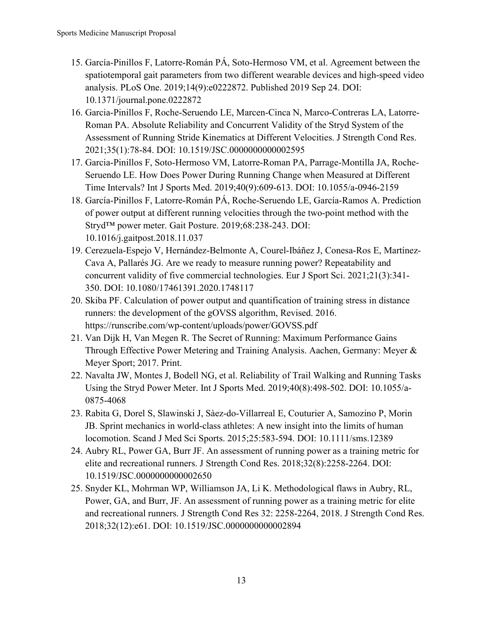- 15. García-Pinillos F, Latorre-Román PÁ, Soto-Hermoso VM, et al. Agreement between the spatiotemporal gait parameters from two different wearable devices and high-speed video analysis. PLoS One. 2019;14(9):e0222872. Published 2019 Sep 24. DOI: 10.1371/journal.pone.0222872
- 16. Garcia-Pinillos F, Roche-Seruendo LE, Marcen-Cinca N, Marco-Contreras LA, Latorre-Roman PA. Absolute Reliability and Concurrent Validity of the Stryd System of the Assessment of Running Stride Kinematics at Different Velocities. J Strength Cond Res. 2021;35(1):78-84. DOI: 10.1519/JSC.0000000000002595
- 17. Garcia-Pinillos F, Soto-Hermoso VM, Latorre-Roman PA, Parrage-Montilla JA, Roche-Seruendo LE. How Does Power During Running Change when Measured at Different Time Intervals? Int J Sports Med. 2019;40(9):609-613. DOI: 10.1055/a-0946-2159
- 18. García-Pinillos F, Latorre-Román PÁ, Roche-Seruendo LE, García-Ramos A. Prediction of power output at different running velocities through the two-point method with the Stryd™ power meter. Gait Posture. 2019;68:238-243. DOI: 10.1016/j.gaitpost.2018.11.037
- 19. Cerezuela-Espejo V, Hernández-Belmonte A, Courel-Ibáñez J, Conesa-Ros E, Martínez-Cava A, Pallarés JG. Are we ready to measure running power? Repeatability and concurrent validity of five commercial technologies. Eur J Sport Sci. 2021;21(3):341- 350. DOI: 10.1080/17461391.2020.1748117
- 20. Skiba PF. Calculation of power output and quantification of training stress in distance runners: the development of the gOVSS algorithm, Revised. 2016. https://runscribe.com/wp-content/uploads/power/GOVSS.pdf
- 21. Van Dijk H, Van Megen R. The Secret of Running: Maximum Performance Gains Through Effective Power Metering and Training Analysis. Aachen, Germany: Meyer & Meyer Sport; 2017. Print.
- 22. Navalta JW, Montes J, Bodell NG, et al. Reliability of Trail Walking and Running Tasks Using the Stryd Power Meter. Int J Sports Med. 2019;40(8):498-502. DOI: 10.1055/a-0875-4068
- 23. Rabita G, Dorel S, Slawinski J, Sàez-do-Villarreal E, Couturier A, Samozino P, Morin JB. Sprint mechanics in world-class athletes: A new insight into the limits of human locomotion. Scand J Med Sci Sports. 2015;25:583-594. DOI: 10.1111/sms.12389
- 24. Aubry RL, Power GA, Burr JF. An assessment of running power as a training metric for elite and recreational runners. J Strength Cond Res. 2018;32(8):2258-2264. DOI: 10.1519/JSC.0000000000002650
- 25. Snyder KL, Mohrman WP, Williamson JA, Li K. Methodological flaws in Aubry, RL, Power, GA, and Burr, JF. An assessment of running power as a training metric for elite and recreational runners. J Strength Cond Res 32: 2258-2264, 2018. J Strength Cond Res. 2018;32(12):e61. DOI: 10.1519/JSC.0000000000002894